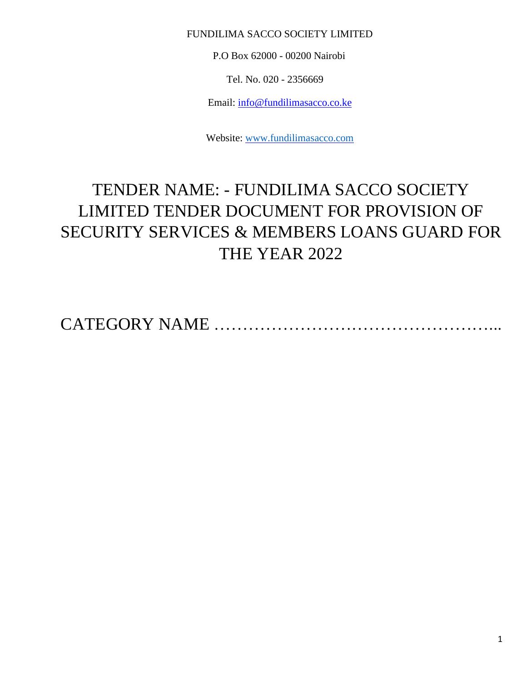## FUNDILIMA SACCO SOCIETY LIMITED

P.O Box 62000 - 00200 Nairobi

Tel. No. 020 - 2356669

Email: info@fundilimasacco.co.ke

Website: [www.fundilimasacco.com](http://www.fundilimasacco.com/)

# TENDER NAME: - FUNDILIMA SACCO SOCIETY LIMITED TENDER DOCUMENT FOR PROVISION OF SECURITY SERVICES & MEMBERS LOANS GUARD FOR THE YEAR 2022

CATEGORY NAME …………………………………………...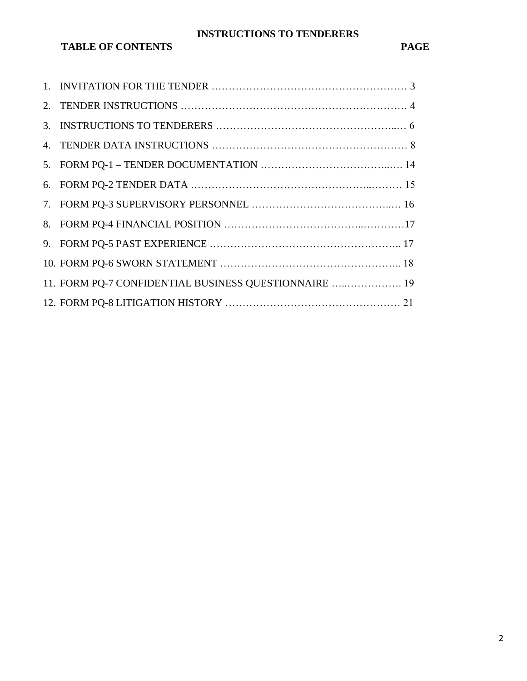# **INSTRUCTIONS TO TENDERERS**

# **TABLE OF CONTENTS PAGE**

| 11. FORM PQ-7 CONFIDENTIAL BUSINESS QUESTIONNAIRE  19 |
|-------------------------------------------------------|
|                                                       |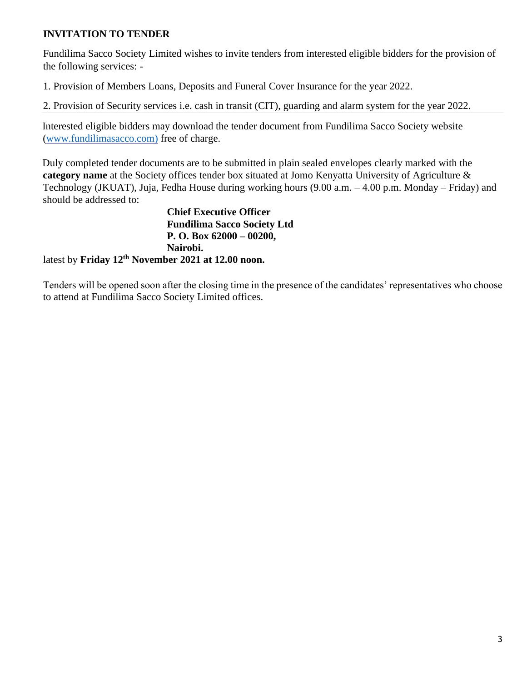## **INVITATION TO TENDER**

Fundilima Sacco Society Limited wishes to invite tenders from interested eligible bidders for the provision of the following services: -

1. Provision of Members Loans, Deposits and Funeral Cover Insurance for the year 2022.

2. Provision of Security services i.e. cash in transit (CIT), guarding and alarm system for the year 2022.

Interested eligible bidders may download the tender document from Fundilima Sacco Society website [\(www.fundilimasacco.com\)](http://www.fundilimasacco.com/) [f](http://www.harambeesacco.com/)ree of charge.

Duly completed tender documents are to be submitted in plain sealed envelopes clearly marked with the **category name** at the Society offices tender box situated at Jomo Kenyatta University of Agriculture & Technology (JKUAT), Juja, Fedha House during working hours (9.00 a.m. – 4.00 p.m. Monday – Friday) and should be addressed to:

**Chief Executive Officer Fundilima Sacco Society Ltd P. O. Box 62000 – 00200, Nairobi.** latest by **Friday 12th November 2021 at 12.00 noon.**

Tenders will be opened soon after the closing time in the presence of the candidates' representatives who choose to attend at Fundilima Sacco Society Limited offices.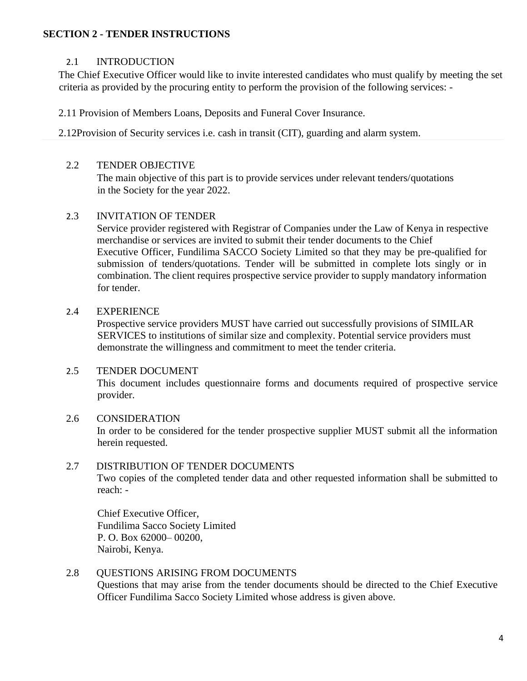#### **SECTION 2 - TENDER INSTRUCTIONS**

## 2.1 INTRODUCTION

The Chief Executive Officer would like to invite interested candidates who must qualify by meeting the set criteria as provided by the procuring entity to perform the provision of the following services: -

2.11 Provision of Members Loans, Deposits and Funeral Cover Insurance.

2.12Provision of Security services i.e. cash in transit (CIT), guarding and alarm system.

#### 2.2 TENDER OBJECTIVE

The main objective of this part is to provide services under relevant tenders/quotations in the Society for the year 2022.

## 2.3 INVITATION OF TENDER

Service provider registered with Registrar of Companies under the Law of Kenya in respective merchandise or services are invited to submit their tender documents to the Chief Executive Officer, Fundilima SACCO Society Limited so that they may be pre-qualified for submission of tenders/quotations. Tender will be submitted in complete lots singly or in combination. The client requires prospective service provider to supply mandatory information for tender.

#### 2.4 EXPERIENCE

Prospective service providers MUST have carried out successfully provisions of SIMILAR SERVICES to institutions of similar size and complexity. Potential service providers must demonstrate the willingness and commitment to meet the tender criteria.

#### 2.5 TENDER DOCUMENT

This document includes questionnaire forms and documents required of prospective service provider.

## 2.6 CONSIDERATION

In order to be considered for the tender prospective supplier MUST submit all the information herein requested.

## 2.7 DISTRIBUTION OF TENDER DOCUMENTS

Two copies of the completed tender data and other requested information shall be submitted to reach: -

Chief Executive Officer, Fundilima Sacco Society Limited P. O. Box 62000– 00200, Nairobi, Kenya.

#### 2.8 OUESTIONS ARISING FROM DOCUMENTS

Questions that may arise from the tender documents should be directed to the Chief Executive Officer Fundilima Sacco Society Limited whose address is given above.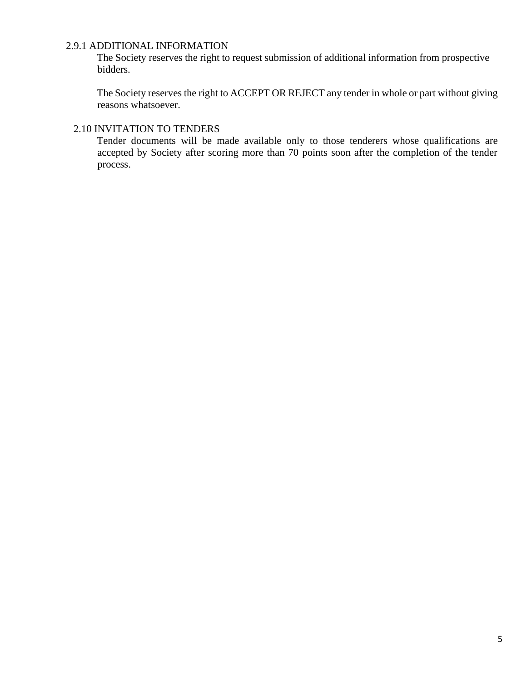# 2.9.1 ADDITIONAL INFORMATION

The Society reserves the right to request submission of additional information from prospective bidders.

The Society reserves the right to ACCEPT OR REJECT any tender in whole or part without giving reasons whatsoever.

#### 2.10 INVITATION TO TENDERS

Tender documents will be made available only to those tenderers whose qualifications are accepted by Society after scoring more than 70 points soon after the completion of the tender process.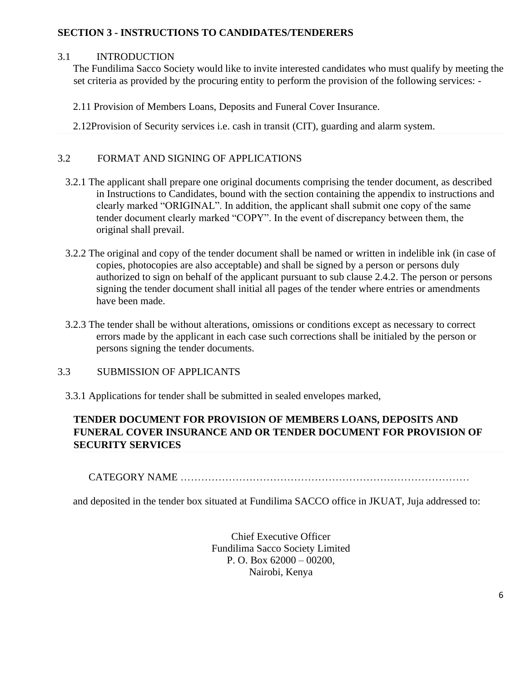## **SECTION 3 - INSTRUCTIONS TO CANDIDATES/TENDERERS**

#### 3.1 INTRODUCTION

The Fundilima Sacco Society would like to invite interested candidates who must qualify by meeting the set criteria as provided by the procuring entity to perform the provision of the following services: -

2.11 Provision of Members Loans, Deposits and Funeral Cover Insurance.

2.12Provision of Security services i.e. cash in transit (CIT), guarding and alarm system.

## 3.2 FORMAT AND SIGNING OF APPLICATIONS

- 3.2.1 The applicant shall prepare one original documents comprising the tender document, as described in Instructions to Candidates, bound with the section containing the appendix to instructions and clearly marked "ORIGINAL". In addition, the applicant shall submit one copy of the same tender document clearly marked "COPY". In the event of discrepancy between them, the original shall prevail.
- 3.2.2 The original and copy of the tender document shall be named or written in indelible ink (in case of copies, photocopies are also acceptable) and shall be signed by a person or persons duly authorized to sign on behalf of the applicant pursuant to sub clause 2.4.2. The person or persons signing the tender document shall initial all pages of the tender where entries or amendments have been made.
- 3.2.3 The tender shall be without alterations, omissions or conditions except as necessary to correct errors made by the applicant in each case such corrections shall be initialed by the person or persons signing the tender documents.
- 3.3 SUBMISSION OF APPLICANTS
	- 3.3.1 Applications for tender shall be submitted in sealed envelopes marked,

# **TENDER DOCUMENT FOR PROVISION OF MEMBERS LOANS, DEPOSITS AND FUNERAL COVER INSURANCE AND OR TENDER DOCUMENT FOR PROVISION OF SECURITY SERVICES**

CATEGORY NAME …………………………………………………………………………

and deposited in the tender box situated at Fundilima SACCO office in JKUAT, Juja addressed to:

Chief Executive Officer Fundilima Sacco Society Limited P. O. Box 62000 – 00200, Nairobi, Kenya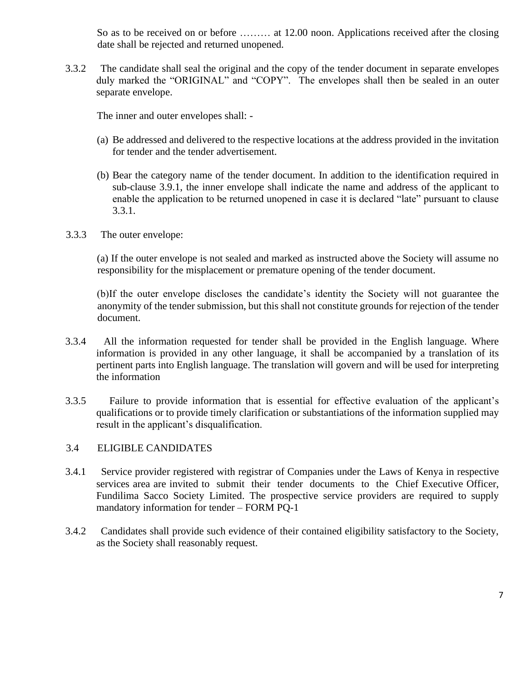So as to be received on or before ......... at 12.00 noon. Applications received after the closing date shall be rejected and returned unopened.

3.3.2 The candidate shall seal the original and the copy of the tender document in separate envelopes duly marked the "ORIGINAL" and "COPY". The envelopes shall then be sealed in an outer separate envelope.

The inner and outer envelopes shall: -

- (a) Be addressed and delivered to the respective locations at the address provided in the invitation for tender and the tender advertisement.
- (b) Bear the category name of the tender document. In addition to the identification required in sub-clause 3.9.1, the inner envelope shall indicate the name and address of the applicant to enable the application to be returned unopened in case it is declared "late" pursuant to clause 3.3.1.
- 3.3.3 The outer envelope:

(a) If the outer envelope is not sealed and marked as instructed above the Society will assume no responsibility for the misplacement or premature opening of the tender document.

(b)If the outer envelope discloses the candidate's identity the Society will not guarantee the anonymity of the tender submission, but this shall not constitute grounds for rejection of the tender document.

- 3.3.4 All the information requested for tender shall be provided in the English language. Where information is provided in any other language, it shall be accompanied by a translation of its pertinent parts into English language. The translation will govern and will be used for interpreting the information
- 3.3.5 Failure to provide information that is essential for effective evaluation of the applicant's qualifications or to provide timely clarification or substantiations of the information supplied may result in the applicant's disqualification.

#### 3.4 ELIGIBLE CANDIDATES

- 3.4.1 Service provider registered with registrar of Companies under the Laws of Kenya in respective services area are invited to submit their tender documents to the Chief Executive Officer, Fundilima Sacco Society Limited. The prospective service providers are required to supply mandatory information for tender – FORM PQ-1
- 3.4.2 Candidates shall provide such evidence of their contained eligibility satisfactory to the Society, as the Society shall reasonably request.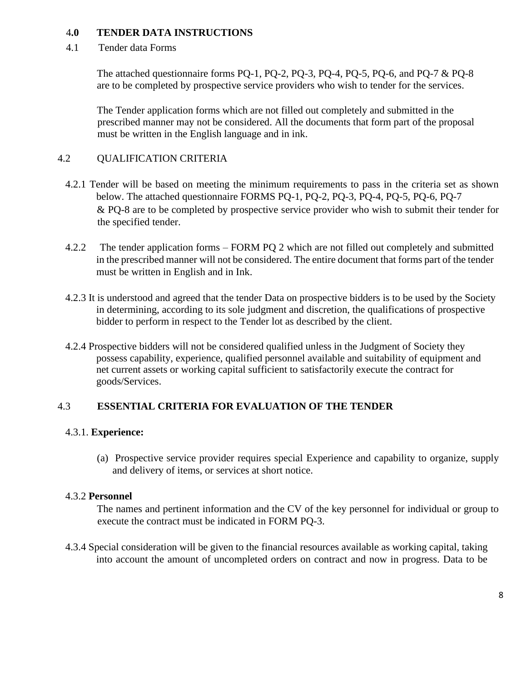#### 4**.0 TENDER DATA INSTRUCTIONS**

4.1 Tender data Forms

The attached questionnaire forms PQ-1, PQ-2, PQ-3, PQ-4, PQ-5, PQ-6, and PQ-7 & PQ-8 are to be completed by prospective service providers who wish to tender for the services.

The Tender application forms which are not filled out completely and submitted in the prescribed manner may not be considered. All the documents that form part of the proposal must be written in the English language and in ink.

## 4.2 QUALIFICATION CRITERIA

- 4.2.1 Tender will be based on meeting the minimum requirements to pass in the criteria set as shown below. The attached questionnaire FORMS PQ-1, PQ-2, PQ-3, PQ-4, PQ-5, PQ-6, PQ-7 & PQ-8 are to be completed by prospective service provider who wish to submit their tender for the specified tender.
- 4.2.2 The tender application forms FORM PQ 2 which are not filled out completely and submitted in the prescribed manner will not be considered. The entire document that forms part of the tender must be written in English and in Ink.
- 4.2.3 It is understood and agreed that the tender Data on prospective bidders is to be used by the Society in determining, according to its sole judgment and discretion, the qualifications of prospective bidder to perform in respect to the Tender lot as described by the client.
- 4.2.4 Prospective bidders will not be considered qualified unless in the Judgment of Society they possess capability, experience, qualified personnel available and suitability of equipment and net current assets or working capital sufficient to satisfactorily execute the contract for goods/Services.

# 4.3 **ESSENTIAL CRITERIA FOR EVALUATION OF THE TENDER**

## 4.3.1. **Experience:**

(a) Prospective service provider requires special Experience and capability to organize, supply and delivery of items, or services at short notice.

## 4.3.2 **Personnel**

The names and pertinent information and the CV of the key personnel for individual or group to execute the contract must be indicated in FORM PQ-3.

4.3.4 Special consideration will be given to the financial resources available as working capital, taking into account the amount of uncompleted orders on contract and now in progress. Data to be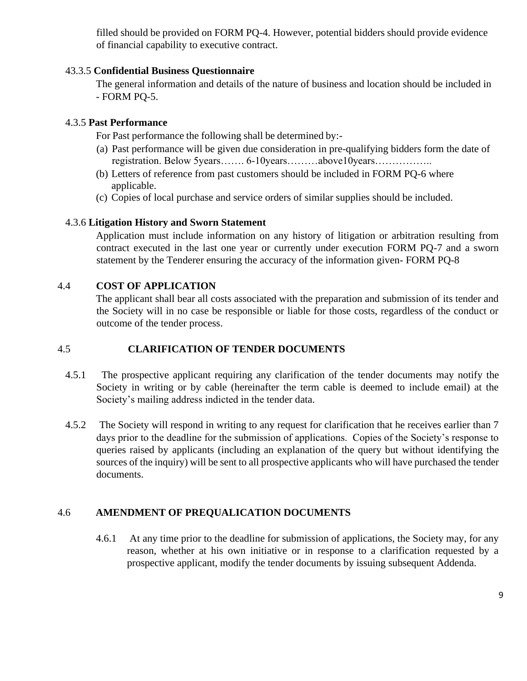filled should be provided on FORM PQ-4. However, potential bidders should provide evidence of financial capability to executive contract.

## 43.3.5 **Confidential Business Questionnaire**

The general information and details of the nature of business and location should be included in - FORM PQ-5.

## 4.3.5 **Past Performance**

For Past performance the following shall be determined by:-

- (a) Past performance will be given due consideration in pre-qualifying bidders form the date of registration. Below 5years……. 6-10years………above10years……………..
- (b) Letters of reference from past customers should be included in FORM PQ-6 where applicable.
- (c) Copies of local purchase and service orders of similar supplies should be included.

## 4.3.6 **Litigation History and Sworn Statement**

Application must include information on any history of litigation or arbitration resulting from contract executed in the last one year or currently under execution FORM PQ-7 and a sworn statement by the Tenderer ensuring the accuracy of the information given- FORM PQ-8

# 4.4 **COST OF APPLICATION**

The applicant shall bear all costs associated with the preparation and submission of its tender and the Society will in no case be responsible or liable for those costs, regardless of the conduct or outcome of the tender process.

# 4.5 **CLARIFICATION OF TENDER DOCUMENTS**

- 4.5.1 The prospective applicant requiring any clarification of the tender documents may notify the Society in writing or by cable (hereinafter the term cable is deemed to include email) at the Society's mailing address indicted in the tender data.
- 4.5.2 The Society will respond in writing to any request for clarification that he receives earlier than 7 days prior to the deadline for the submission of applications. Copies of the Society's response to queries raised by applicants (including an explanation of the query but without identifying the sources of the inquiry) will be sent to all prospective applicants who will have purchased the tender documents.

# 4.6 **AMENDMENT OF PREQUALICATION DOCUMENTS**

4.6.1 At any time prior to the deadline for submission of applications, the Society may, for any reason, whether at his own initiative or in response to a clarification requested by a prospective applicant, modify the tender documents by issuing subsequent Addenda.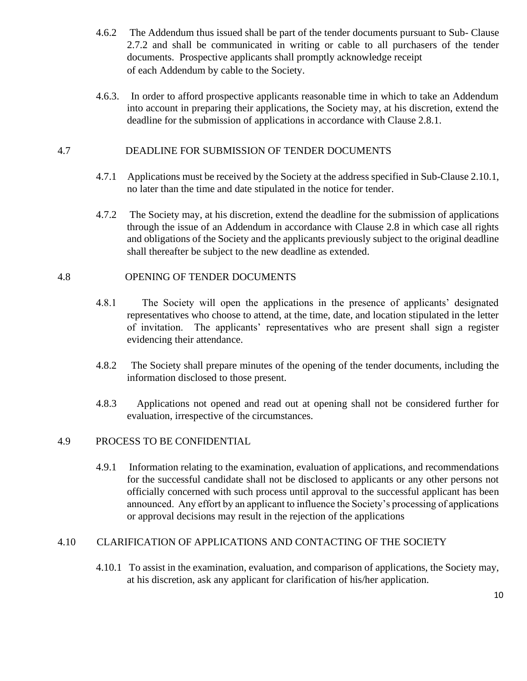- 4.6.2 The Addendum thus issued shall be part of the tender documents pursuant to Sub- Clause 2.7.2 and shall be communicated in writing or cable to all purchasers of the tender documents. Prospective applicants shall promptly acknowledge receipt of each Addendum by cable to the Society.
- 4.6.3. In order to afford prospective applicants reasonable time in which to take an Addendum into account in preparing their applications, the Society may, at his discretion, extend the deadline for the submission of applications in accordance with Clause 2.8.1.

## 4.7 DEADLINE FOR SUBMISSION OF TENDER DOCUMENTS

- 4.7.1 Applications must be received by the Society at the address specified in Sub-Clause 2.10.1, no later than the time and date stipulated in the notice for tender.
- 4.7.2 The Society may, at his discretion, extend the deadline for the submission of applications through the issue of an Addendum in accordance with Clause 2.8 in which case all rights and obligations of the Society and the applicants previously subject to the original deadline shall thereafter be subject to the new deadline as extended.

## 4.8 OPENING OF TENDER DOCUMENTS

- 4.8.1 The Society will open the applications in the presence of applicants' designated representatives who choose to attend, at the time, date, and location stipulated in the letter of invitation. The applicants' representatives who are present shall sign a register evidencing their attendance.
- 4.8.2 The Society shall prepare minutes of the opening of the tender documents, including the information disclosed to those present.
- 4.8.3 Applications not opened and read out at opening shall not be considered further for evaluation, irrespective of the circumstances.

## 4.9 PROCESS TO BE CONFIDENTIAL

4.9.1 Information relating to the examination, evaluation of applications, and recommendations for the successful candidate shall not be disclosed to applicants or any other persons not officially concerned with such process until approval to the successful applicant has been announced. Any effort by an applicant to influence the Society's processing of applications or approval decisions may result in the rejection of the applications

## 4.10 CLARIFICATION OF APPLICATIONS AND CONTACTING OF THE SOCIETY

4.10.1 To assist in the examination, evaluation, and comparison of applications, the Society may, at his discretion, ask any applicant for clarification of his/her application.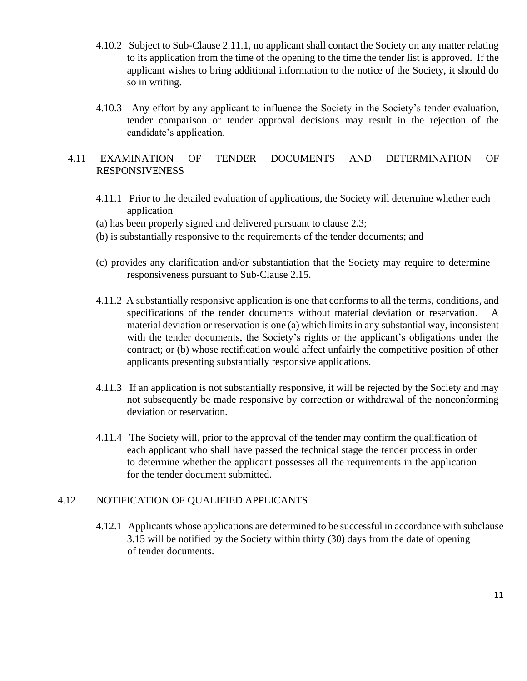- 4.10.2 Subject to Sub-Clause 2.11.1, no applicant shall contact the Society on any matter relating to its application from the time of the opening to the time the tender list is approved. If the applicant wishes to bring additional information to the notice of the Society, it should do so in writing.
- 4.10.3 Any effort by any applicant to influence the Society in the Society's tender evaluation, tender comparison or tender approval decisions may result in the rejection of the candidate's application.

## 4.11 EXAMINATION OF TENDER DOCUMENTS AND DETERMINATION OF RESPONSIVENESS

- 4.11.1 Prior to the detailed evaluation of applications, the Society will determine whether each application
- (a) has been properly signed and delivered pursuant to clause 2.3;
- (b) is substantially responsive to the requirements of the tender documents; and
- (c) provides any clarification and/or substantiation that the Society may require to determine responsiveness pursuant to Sub-Clause 2.15.
- 4.11.2 A substantially responsive application is one that conforms to all the terms, conditions, and specifications of the tender documents without material deviation or reservation. A material deviation or reservation is one (a) which limits in any substantial way, inconsistent with the tender documents, the Society's rights or the applicant's obligations under the contract; or (b) whose rectification would affect unfairly the competitive position of other applicants presenting substantially responsive applications.
- 4.11.3 If an application is not substantially responsive, it will be rejected by the Society and may not subsequently be made responsive by correction or withdrawal of the nonconforming deviation or reservation.
- 4.11.4 The Society will, prior to the approval of the tender may confirm the qualification of each applicant who shall have passed the technical stage the tender process in order to determine whether the applicant possesses all the requirements in the application for the tender document submitted.

#### 4.12 NOTIFICATION OF QUALIFIED APPLICANTS

4.12.1 Applicants whose applications are determined to be successful in accordance with subclause 3.15 will be notified by the Society within thirty (30) days from the date of opening of tender documents.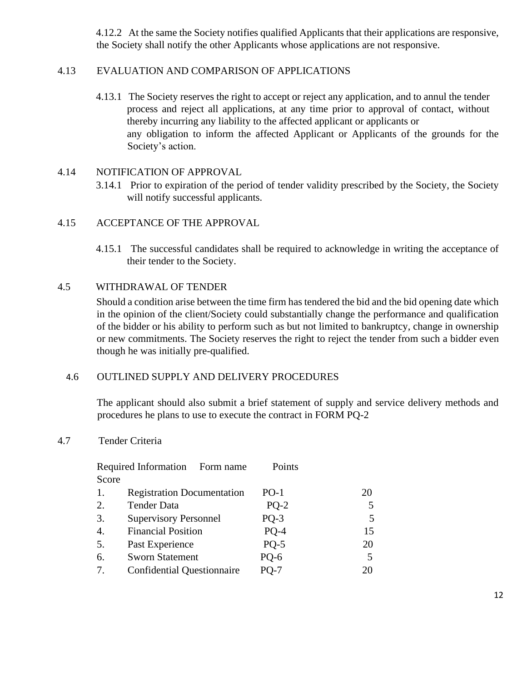4.12.2 At the same the Society notifies qualified Applicants that their applications are responsive, the Society shall notify the other Applicants whose applications are not responsive.

#### 4.13 EVALUATION AND COMPARISON OF APPLICATIONS

4.13.1 The Society reserves the right to accept or reject any application, and to annul the tender process and reject all applications, at any time prior to approval of contact, without thereby incurring any liability to the affected applicant or applicants or any obligation to inform the affected Applicant or Applicants of the grounds for the Society's action.

#### 4.14 NOTIFICATION OF APPROVAL

3.14.1 Prior to expiration of the period of tender validity prescribed by the Society, the Society will notify successful applicants.

#### 4.15 ACCEPTANCE OF THE APPROVAL

4.15.1 The successful candidates shall be required to acknowledge in writing the acceptance of their tender to the Society.

#### 4.5 WITHDRAWAL OF TENDER

Should a condition arise between the time firm has tendered the bid and the bid opening date which in the opinion of the client/Society could substantially change the performance and qualification of the bidder or his ability to perform such as but not limited to bankruptcy, change in ownership or new commitments. The Society reserves the right to reject the tender from such a bidder even though he was initially pre-qualified.

#### 4.6 OUTLINED SUPPLY AND DELIVERY PROCEDURES

The applicant should also submit a brief statement of supply and service delivery methods and procedures he plans to use to execute the contract in FORM PQ-2

#### 4.7 Tender Criteria

|                  | Required Information Form name    | Points |    |
|------------------|-----------------------------------|--------|----|
| Score            |                                   |        |    |
| 1.               | <b>Registration Documentation</b> | $PO-1$ | 20 |
| 2.               | <b>Tender Data</b>                | $PQ-2$ |    |
| 3.               | <b>Supervisory Personnel</b>      | $PO-3$ |    |
| $\overline{4}$ . | <b>Financial Position</b>         | $PO-4$ | 15 |
| 5.               | Past Experience                   | $PQ-5$ | 20 |
| 6.               | <b>Sworn Statement</b>            | PQ-6   | 5  |
| 7.               | <b>Confidential Questionnaire</b> | $PO-7$ | 20 |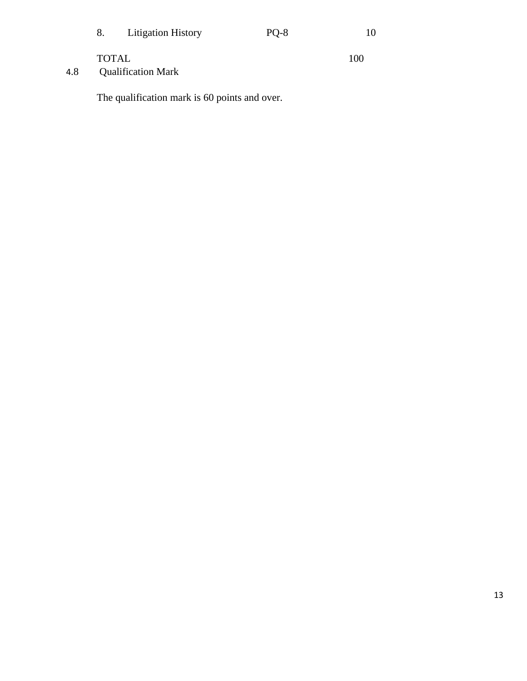| 8.           | Litigation History | $PQ-8$ | 10  |
|--------------|--------------------|--------|-----|
| <b>TOTAL</b> |                    |        | 100 |

4.8 Qualification Mark

The qualification mark is 60 points and over.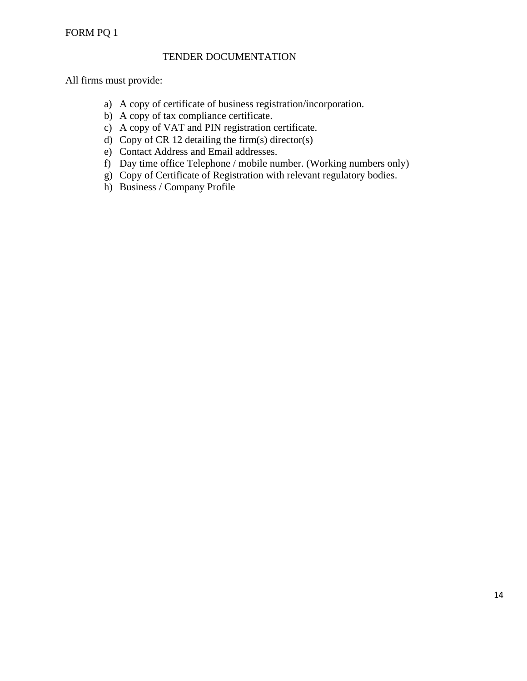## FORM PQ 1

#### TENDER DOCUMENTATION

All firms must provide:

- a) A copy of certificate of business registration/incorporation.
- b) A copy of tax compliance certificate.
- c) A copy of VAT and PIN registration certificate.
- d) Copy of CR 12 detailing the firm(s) director(s)
- e) Contact Address and Email addresses.
- f) Day time office Telephone / mobile number. (Working numbers only)
- g) Copy of Certificate of Registration with relevant regulatory bodies.
- h) Business / Company Profile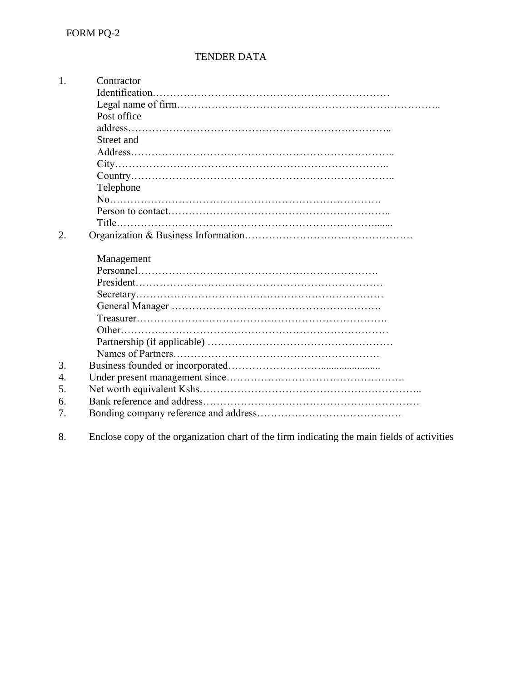## TENDER DATA

1. Contractor Identification…………………………………………………………… Legal name of firm………………………………………………………………….. Post office address………………………………………………………………….. Street and Address………………………………………………………………….. City…………………………………………………………………….. Country………………………………………………………………….. Telephone No……………………………………………………………………. Person to contact……………………………………………………….. Title…………………………………………………………………....... 2. Organization & Business Information…………………………………………. Management Personnel……………………………………………………………. President……………………………………………………………… Secretary……………………………………………………………… General Manager ……………………………………………………. Treasurer………………………………………………………………. Other…………………………………………………………………… Partnership (if applicable) ……………………………………………… Names of Partners…………………………………………………… 3. Business founded or incorporated………………………....................... 4. Under present management since……………………………………………. 5. Net worth equivalent Kshs……………………………………………………….. 6. Bank reference and address……………………………………………………… 7. Bonding company reference and address……………………………………

8. Enclose copy of the organization chart of the firm indicating the main fields of activities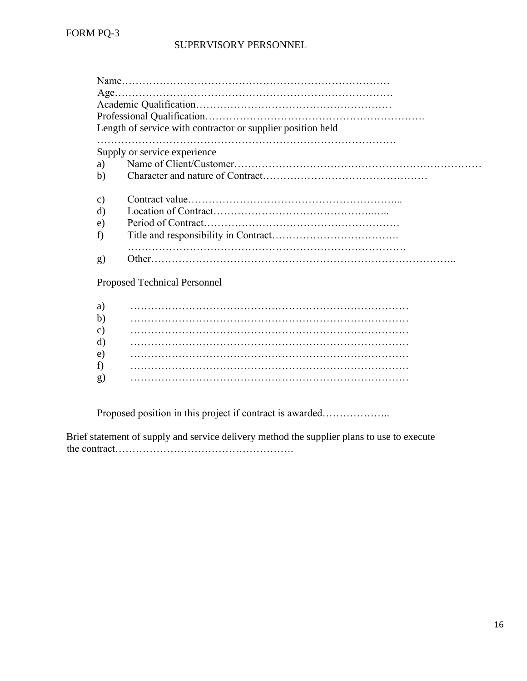|               | Length of service with contractor or supplier position held |
|---------------|-------------------------------------------------------------|
|               |                                                             |
|               | Supply or service experience                                |
| a)            |                                                             |
| b)            |                                                             |
| $\mathbf{c})$ |                                                             |
| $\rm d$       |                                                             |
| e)            |                                                             |
| f)            |                                                             |
|               |                                                             |
| g)            |                                                             |

Proposed Technical Personnel

| a)            |  |
|---------------|--|
| b)            |  |
| $\mathbf{c})$ |  |
| $\rm d)$      |  |
| $\epsilon$ )  |  |
| f)            |  |
| g)            |  |

Proposed position in this project if contract is awarded………………..

Brief statement of supply and service delivery method the supplier plans to use to execute the contract…………………………………………….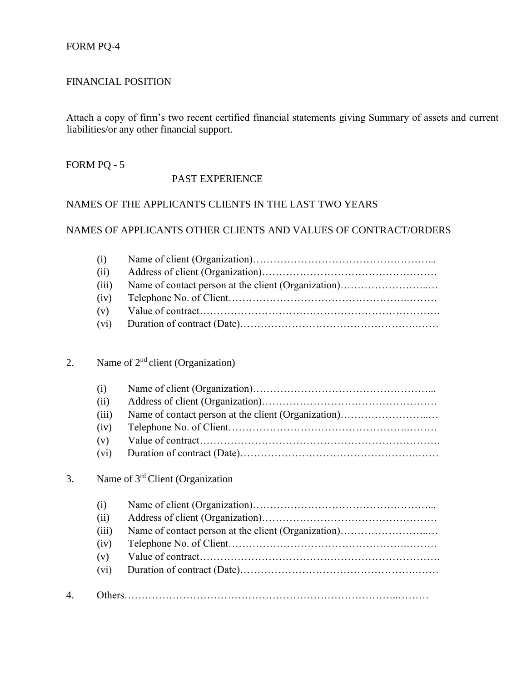## FORM PQ-4

#### FINANCIAL POSITION

Attach a copy of firm's two recent certified financial statements giving Summary of assets and current liabilities/or any other financial support.

#### FORM PQ - 5

#### PAST EXPERIENCE

## NAMES OF THE APPLICANTS CLIENTS IN THE LAST TWO YEARS

#### NAMES OF APPLICANTS OTHER CLIENTS AND VALUES OF CONTRACT/ORDERS

| (i)   |  |
|-------|--|
| (ii)  |  |
| (iii) |  |
| (iv)  |  |
| (v)   |  |
|       |  |

# 2. Name of  $2<sup>nd</sup>$  client (Organization)

| (i)   |  |
|-------|--|
| (ii)  |  |
| (iii) |  |
| (iv)  |  |
| (v)   |  |
| (vi)  |  |

# 3. Name of 3rd Client (Organization

|    | $\left( 1 \right)$ |  |
|----|--------------------|--|
|    | (ii)               |  |
|    | (iii)              |  |
|    | (iv)               |  |
|    | (v)                |  |
|    | $(v_i)$            |  |
|    |                    |  |
| 4. |                    |  |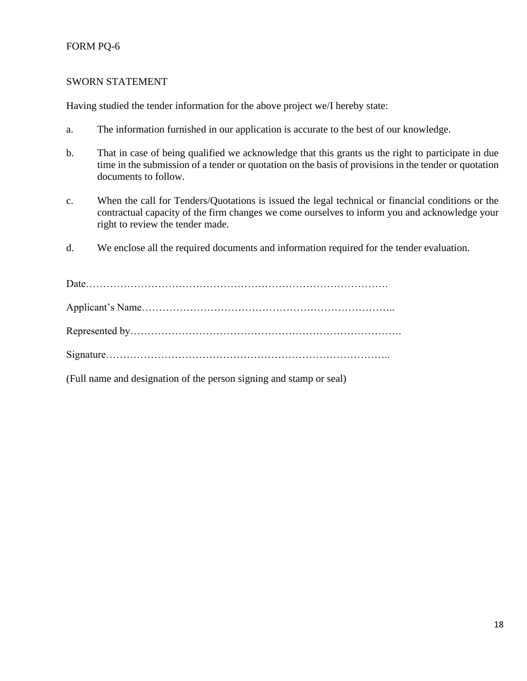## FORM PQ-6

#### SWORN STATEMENT

Having studied the tender information for the above project we/I hereby state:

- a. The information furnished in our application is accurate to the best of our knowledge.
- b. That in case of being qualified we acknowledge that this grants us the right to participate in due time in the submission of a tender or quotation on the basis of provisions in the tender or quotation documents to follow.
- c. When the call for Tenders/Quotations is issued the legal technical or financial conditions or the contractual capacity of the firm changes we come ourselves to inform you and acknowledge your right to review the tender made.
- d. We enclose all the required documents and information required for the tender evaluation.

| (Full name and designation of the person signing and stamp or seal) |
|---------------------------------------------------------------------|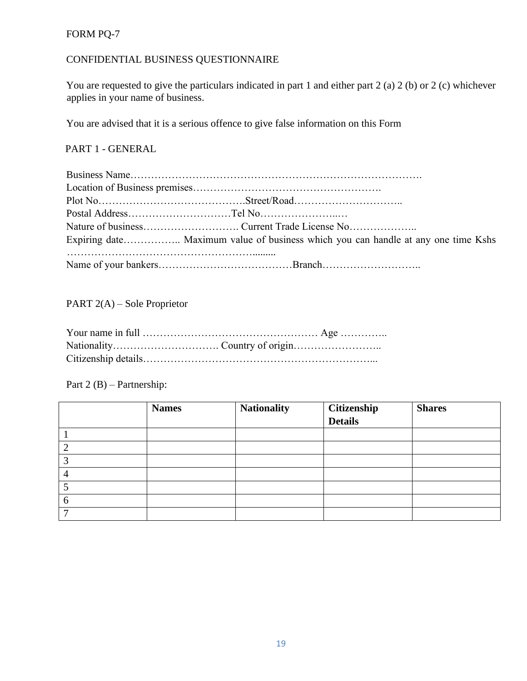# FORM PQ-7

# CONFIDENTIAL BUSINESS QUESTIONNAIRE

You are requested to give the particulars indicated in part 1 and either part 2 (a) 2 (b) or 2 (c) whichever applies in your name of business.

You are advised that it is a serious offence to give false information on this Form

# PART 1 - GENERAL

| Expiring date Maximum value of business which you can handle at any one time Kshs |
|-----------------------------------------------------------------------------------|
|                                                                                   |

PART 2(A) – Sole Proprietor

Part 2 (B) – Partnership:

|   | <b>Names</b> | <b>Nationality</b> | <b>Citizenship</b><br>Details | <b>Shares</b> |
|---|--------------|--------------------|-------------------------------|---------------|
|   |              |                    |                               |               |
|   |              |                    |                               |               |
| п |              |                    |                               |               |
| ◠ |              |                    |                               |               |
| Δ |              |                    |                               |               |
|   |              |                    |                               |               |
| O |              |                    |                               |               |
| _ |              |                    |                               |               |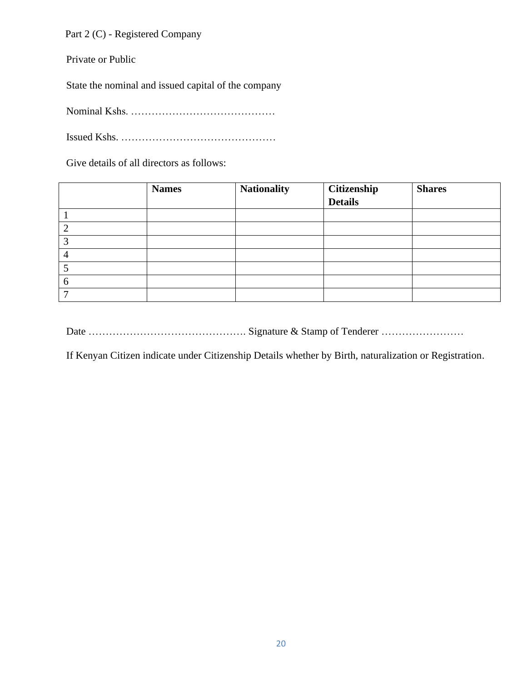Part 2 (C) - Registered Company

Private or Public

State the nominal and issued capital of the company

Nominal Kshs. ……………………………………

Issued Kshs. ………………………………………

Give details of all directors as follows:

|   | <b>Names</b> | <b>Nationality</b> | <b>Citizenship</b><br>Details | <b>Shares</b> |
|---|--------------|--------------------|-------------------------------|---------------|
|   |              |                    |                               |               |
|   |              |                    |                               |               |
|   |              |                    |                               |               |
| ⌒ |              |                    |                               |               |
|   |              |                    |                               |               |
|   |              |                    |                               |               |
| O |              |                    |                               |               |
|   |              |                    |                               |               |

Date ………………………………………. Signature & Stamp of Tenderer ……………………

If Kenyan Citizen indicate under Citizenship Details whether by Birth, naturalization or Registration.